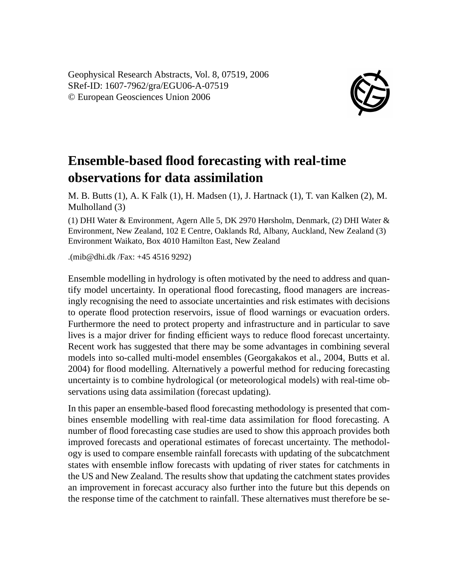Geophysical Research Abstracts, Vol. 8, 07519, 2006 SRef-ID: 1607-7962/gra/EGU06-A-07519 © European Geosciences Union 2006



## **Ensemble-based flood forecasting with real-time observations for data assimilation**

M. B. Butts (1), A. K Falk (1), H. Madsen (1), J. Hartnack (1), T. van Kalken (2), M. Mulholland (3)

(1) DHI Water & Environment, Agern Alle 5, DK 2970 Hørsholm, Denmark, (2) DHI Water & Environment, New Zealand, 102 E Centre, Oaklands Rd, Albany, Auckland, New Zealand (3) Environment Waikato, Box 4010 Hamilton East, New Zealand

.(mib@dhi.dk /Fax: +45 4516 9292)

Ensemble modelling in hydrology is often motivated by the need to address and quantify model uncertainty. In operational flood forecasting, flood managers are increasingly recognising the need to associate uncertainties and risk estimates with decisions to operate flood protection reservoirs, issue of flood warnings or evacuation orders. Furthermore the need to protect property and infrastructure and in particular to save lives is a major driver for finding efficient ways to reduce flood forecast uncertainty. Recent work has suggested that there may be some advantages in combining several models into so-called multi-model ensembles (Georgakakos et al., 2004, Butts et al. 2004) for flood modelling. Alternatively a powerful method for reducing forecasting uncertainty is to combine hydrological (or meteorological models) with real-time observations using data assimilation (forecast updating).

In this paper an ensemble-based flood forecasting methodology is presented that combines ensemble modelling with real-time data assimilation for flood forecasting. A number of flood forecasting case studies are used to show this approach provides both improved forecasts and operational estimates of forecast uncertainty. The methodology is used to compare ensemble rainfall forecasts with updating of the subcatchment states with ensemble inflow forecasts with updating of river states for catchments in the US and New Zealand. The results show that updating the catchment states provides an improvement in forecast accuracy also further into the future but this depends on the response time of the catchment to rainfall. These alternatives must therefore be se